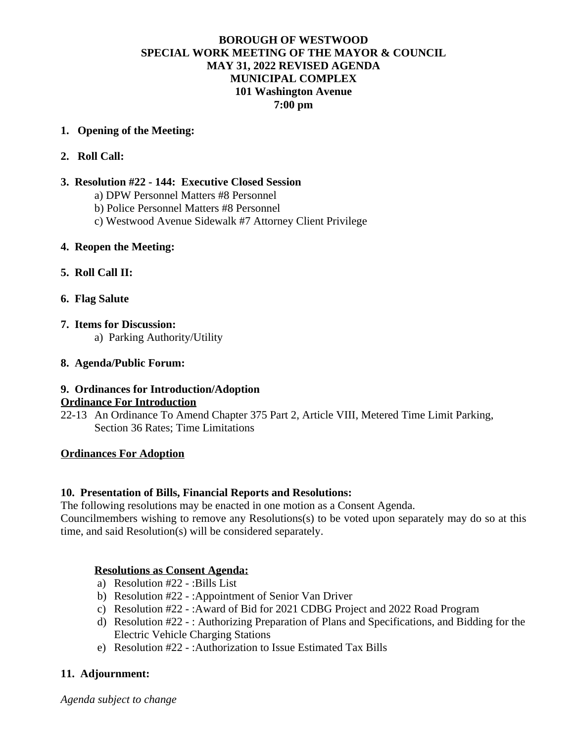#### **BOROUGH OF WESTWOOD SPECIAL WORK MEETING OF THE MAYOR & COUNCIL MAY 31, 2022 REVISED AGENDA MUNICIPAL COMPLEX 101 Washington Avenue 7:00 pm**

#### **1. Opening of the Meeting:**

**2. Roll Call:**

#### **3. Resolution #22 - 144: Executive Closed Session**

- a) DPW Personnel Matters #8 Personnel
- b) Police Personnel Matters #8 Personnel
- c) Westwood Avenue Sidewalk #7 Attorney Client Privilege

#### **4. Reopen the Meeting:**

- **5. Roll Call II:**
- **6. Flag Salute**
- **7. Items for Discussion:** a) Parking Authority/Utility

#### **8. Agenda/Public Forum:**

# **9. Ordinances for Introduction/Adoption Ordinance For Introduction**

22-13 An Ordinance To Amend Chapter 375 Part 2, Article VIII, Metered Time Limit Parking, Section 36 Rates; Time Limitations

# **Ordinances For Adoption**

# **10. Presentation of Bills, Financial Reports and Resolutions:**

The following resolutions may be enacted in one motion as a Consent Agenda.

Councilmembers wishing to remove any Resolutions(s) to be voted upon separately may do so at this time, and said Resolution(s) will be considered separately.

# **Resolutions as Consent Agenda:**

- a) Resolution #22 :Bills List
- b) Resolution #22 :Appointment of Senior Van Driver
- c) Resolution #22 :Award of Bid for 2021 CDBG Project and 2022 Road Program
- d) Resolution #22 : Authorizing Preparation of Plans and Specifications, and Bidding for the Electric Vehicle Charging Stations
- e) Resolution #22 :Authorization to Issue Estimated Tax Bills

# **11. Adjournment:**

*Agenda subject to change*